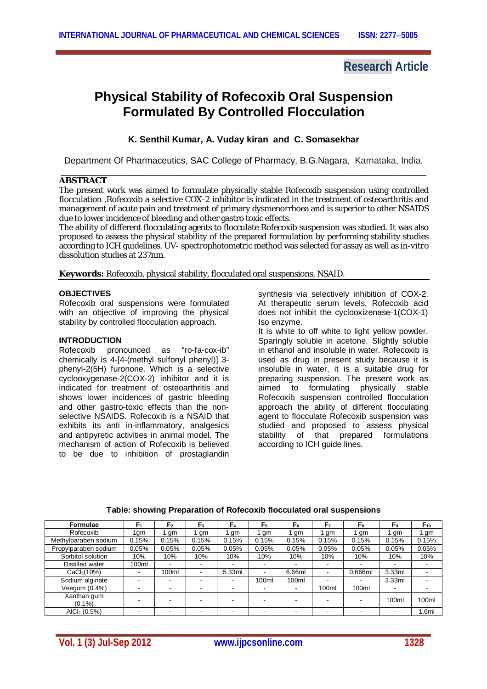## **Research Article**

# **Physical Stability of Rofecoxib Oral Suspension Formulated By Controlled Flocculation**

**K. Senthil Kumar, A. Vuday kiran and C. Somasekhar**

Department Of Pharmaceutics, SAC College of Pharmacy, B.G.Nagara, Karnataka, India.

#### \_\_\_\_\_\_\_\_\_\_\_\_\_\_\_\_\_\_\_\_\_\_\_\_\_\_\_\_\_\_\_\_\_\_\_\_\_\_\_\_\_\_\_\_\_\_\_\_\_\_\_\_\_\_\_\_\_\_\_\_\_\_\_\_\_\_\_\_\_\_\_\_\_ **ABSTRACT**

The present work was aimed to formulate physically stable Rofecoxib suspension using controlled flocculation .Rofecoxib a selective COX-2 inhibitor is indicated in the treatment of osteoarthritis and management of acute pain and treatment of primary dysmenorrhoea and is superior to other NSAIDS due to lower incidence of bleeding and other gastro toxic effects.

The ability of different flocculating agents to flocculate Rofecoxib suspension was studied. It was also proposed to assess the physical stability of the prepared formulation by performing stability studies according to ICH guidelines. UV- spectrophotometric method was selected for assay as well as *in-vitro*  dissolution studies at 237nm.

**Keywords:** Rofecoxib, physical stability, flocculated oral suspensions, NSAID.

### **OBJECTIVES**

Rofecoxib oral suspensions were formulated with an objective of improving the physical stability by controlled flocculation approach.

## **INTRODUCTION**

Rofecoxib pronounced as "ro-fa-cox-ib" chemically is 4-[4-(methyl sulfonyl phenyl)] 3 phenyl-2(5H) furonone. Which is a selective cyclooxygenase-2(COX-2) inhibitor and it is indicated for treatment of osteoarthritis and shows lower incidences of gastric bleeding and other gastro-toxic effects than the nonselective NSAIDS. Rofecoxib is a NSAID that exhibits its anti in-inflammatory, analgesics and antipyretic activities in animal model. The mechanism of action of Rofecoxib is believed to be due to inhibition of prostaglandin

synthesis via selectively inhibition of COX-2. At therapeutic serum levels, Rofecoxib acid does not inhibit the cyclooxizenase-1(COX-1) Iso enzyme.

It is white to off white to light yellow powder. Sparingly soluble in acetone. Slightly soluble in ethanol and insoluble in water. Rofecoxib is used as drug in present study because it is insoluble in water, it is a suitable drug for preparing suspension. The present work as aimed to formulating physically stable Rofecoxib suspension controlled flocculation approach the ability of different flocculating agent to flocculate Rofecoxib suspension was studied and proposed to assess physical stability of that prepared formulations according to ICH guide lines.

| <b>Formulae</b>          | F,    | F,                       | F <sub>3</sub>           | F4     | F <sub>5</sub>           | F۵     | F7                       | F <sub>8</sub>           | $F_9$          | $F_{10}$ |
|--------------------------|-------|--------------------------|--------------------------|--------|--------------------------|--------|--------------------------|--------------------------|----------------|----------|
| Rofecoxib                | 1gm   | gm                       | gm                       | gm     | gm                       | gm     | gm                       | gm                       | gm             | 1 gm     |
| Methylparaben sodium     | 0.15% | 0.15%                    | 0.15%                    | 0.15%  | 0.15%                    | 0.15%  | 0.15%                    | 0.15%                    | 0.15%          | 0.15%    |
| Propylparaben sodium     | 0.05% | 0.05%                    | 0.05%                    | 0.05%  | 0.05%                    | 0.05%  | 0.05%                    | 0.05%                    | 0.05%          | 0.05%    |
| Sorbitol solution        | 10%   | 10%                      | 10%                      | 10%    | 10%                      | 10%    | 10%                      | 10%                      | 10%            | 10%      |
| Distilled water          | 100ml | $\overline{\phantom{0}}$ | $\blacksquare$           | ۰      | $\overline{\phantom{a}}$ |        |                          |                          | $\blacksquare$ |          |
| CaCl <sub>2</sub> (10%)  |       | 100ml                    | $\overline{\phantom{a}}$ | 5.33ml | $\overline{\phantom{a}}$ | 6.66ml | $\overline{\phantom{a}}$ | $0.666$ ml               | 3.33ml         |          |
| Sodium alginate          |       | $\overline{\phantom{a}}$ | $\blacksquare$           | ۰      | 100ml                    | 100ml  | -                        | $\overline{\phantom{a}}$ | 3.33ml         |          |
| Veequm (0.4%)            |       | $\overline{\phantom{0}}$ | $\overline{\phantom{0}}$ | -      | $\blacksquare$           | ۰      | 100ml                    | 100ml                    |                |          |
| Xanthan gum<br>$(0.1\%)$ |       |                          | $\overline{\phantom{0}}$ |        | -                        | -      |                          |                          | 100ml          | 100ml    |
| AICI <sub>2</sub> (0.5%) |       |                          | $\overline{\phantom{a}}$ | $\,$   | $\blacksquare$           | $\,$   | -                        |                          |                | 1.6ml    |

#### **Table: showing Preparation of Rofecoxib flocculated oral suspensions**